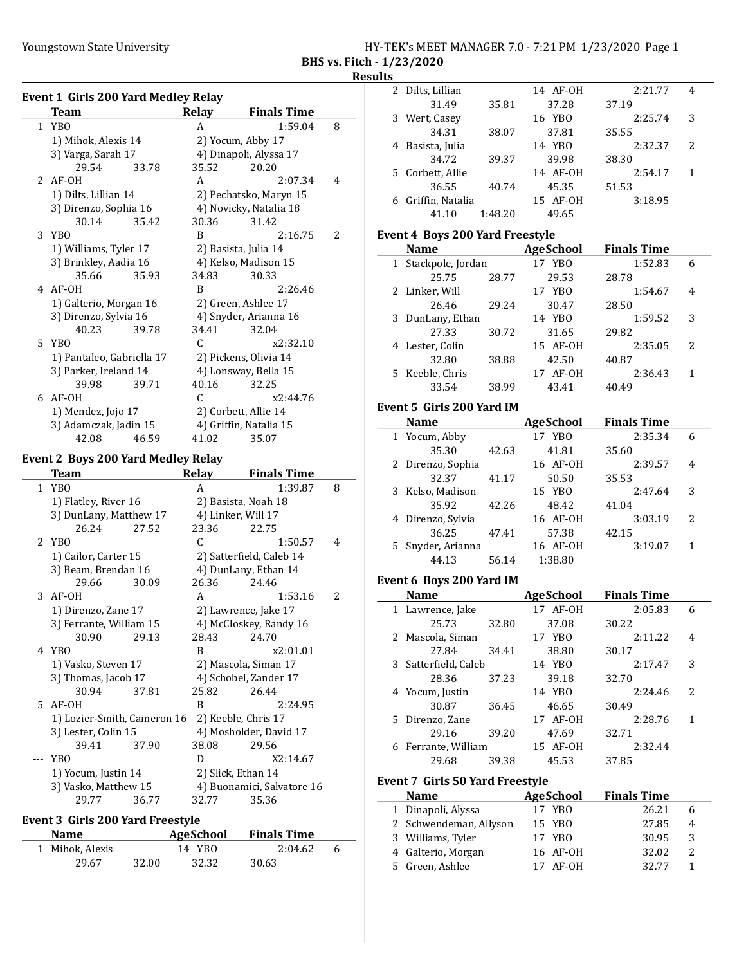#### Youngstown State University The Management State University HY-TEK's MEET MANAGER 7.0 - 7:21 PM 1/23/2020 Page 1 BHS vs. Fitch - 1/23/2020

# **Results**

| Event 1 Girls 200 Yard Medley Relay |       |       |                        |                |
|-------------------------------------|-------|-------|------------------------|----------------|
| <b>Team</b>                         |       | Relay | <b>Finals Time</b>     |                |
| 1 YBO                               |       | A     | 1:59.04                | 8              |
| 1) Mihok, Alexis 14                 |       |       | 2) Yocum, Abby 17      |                |
| 3) Varga, Sarah 17                  |       |       | 4) Dinapoli, Alyssa 17 |                |
| 29.54                               | 33.78 | 35.52 | 20.20                  |                |
| $2$ AF-OH                           |       | A     | 2:07.34                | 4              |
| 1) Dilts, Lillian 14                |       |       | 2) Pechatsko, Maryn 15 |                |
| 3) Direnzo, Sophia 16               |       |       | 4) Novicky, Natalia 18 |                |
| 30.14                               | 35.42 | 30.36 | 31.42                  |                |
| 3 YBO                               |       | R     | 2:16.75                | $\overline{2}$ |
| 1) Williams, Tyler 17               |       |       | 2) Basista, Julia 14   |                |
| 3) Brinkley, Aadia 16               |       |       | 4) Kelso, Madison 15   |                |
| 35.66                               | 35.93 | 34.83 | 30.33                  |                |
| 4 AF-0H                             |       | R     | 2:26.46                |                |
| 1) Galterio, Morgan 16              |       |       | 2) Green, Ashlee 17    |                |
| 3) Direnzo, Sylvia 16               |       |       | 4) Snyder, Arianna 16  |                |
| 40.23                               | 39.78 | 34.41 | 32.04                  |                |
| 5 YBO                               |       | C     | x2:32.10               |                |
| 1) Pantaleo, Gabriella 17           |       |       | 2) Pickens, Olivia 14  |                |
| 3) Parker, Ireland 14               |       |       | 4) Lonsway, Bella 15   |                |
| 39.98                               | 39.71 | 40.16 | 32.25                  |                |
| 6 AF-0H                             |       | C     | x2:44.76               |                |
| 1) Mendez, Jojo 17                  |       |       | 2) Corbett, Allie 14   |                |
| 3) Adamczak, Jadin 15               |       |       | 4) Griffin, Natalia 15 |                |
| 42.08                               | 46.59 | 41.02 | 35.07                  |                |

## Event 2 Boys 200 Yard Medley Relay

|          | Team                        |       | <b>Relay</b> | <b>Finals Time</b>         |   |
|----------|-----------------------------|-------|--------------|----------------------------|---|
|          | 1 YBO                       |       | A            | 1:39.87                    | 8 |
|          | 1) Flatley, River 16        |       |              | 2) Basista, Noah 18        |   |
|          | 3) DunLany, Matthew 17      |       |              | 4) Linker, Will 17         |   |
|          | 26.24                       | 27.52 | 23.36        | 22.75                      |   |
|          | 2 YBO                       |       | C            | 1:50.57                    | 4 |
|          | 1) Cailor, Carter 15        |       |              | 2) Satterfield, Caleb 14   |   |
|          | 3) Beam, Brendan 16         |       |              | 4) DunLany, Ethan 14       |   |
|          | 29.66                       | 30.09 | 26.36        | 24.46                      |   |
|          | $3$ AF-OH                   |       | A            | 1:53.16                    | 2 |
|          | 1) Direnzo, Zane 17         |       |              | 2) Lawrence, Jake 17       |   |
|          | 3) Ferrante, William 15     |       |              | 4) McCloskey, Randy 16     |   |
|          | 30.90                       | 29.13 | 28.43        | 24.70                      |   |
|          | 4 YBO                       |       | R            | x2:01.01                   |   |
|          | 1) Vasko, Steven 17         |       |              | 2) Mascola, Siman 17       |   |
|          | 3) Thomas, Jacob 17         |       |              | 4) Schobel, Zander 17      |   |
|          | 30.94                       | 37.81 | 25.82        | 26.44                      |   |
|          | 5 AF-0H                     |       | R            | 2:24.95                    |   |
|          | 1) Lozier-Smith, Cameron 16 |       |              | 2) Keeble, Chris 17        |   |
|          | 3) Lester, Colin 15         |       |              | 4) Mosholder, David 17     |   |
|          | 39.41                       | 37.90 | 38.08        | 29.56                      |   |
| $\cdots$ | YBO                         |       | D            | X2:14.67                   |   |
|          | 1) Yocum, Justin 14         |       |              | 2) Slick, Ethan 14         |   |
|          | 3) Vasko, Matthew 15        |       |              | 4) Buonamici, Salvatore 16 |   |
|          | 29.77                       | 36.77 | 32.77        | 35.36                      |   |

## Event 3 Girls 200 Yard Freestyle

| <b>Name</b>     |       | AgeSchool | <b>Finals Time</b> |   |  |
|-----------------|-------|-----------|--------------------|---|--|
| 1 Mihok, Alexis |       | 14 YBO    | 2:04.62            | 6 |  |
| 29.67           | 32.00 | 32.32     | 30.63              |   |  |

|   | 2 Dilts, Lillian |         | 14 AF-0H  | 2:21.77 | 4 |  |
|---|------------------|---------|-----------|---------|---|--|
|   | 31.49            | 35.81   | 37.28     | 37.19   |   |  |
|   | 3 Wert, Casey    |         | 16 YBO    | 2:25.74 | 3 |  |
|   | 34.31            | 38.07   | 37.81     | 35.55   |   |  |
|   | 4 Basista, Julia |         | YBO<br>14 | 2:32.37 | 2 |  |
|   | 34.72            | 39.37   | 39.98     | 38.30   |   |  |
|   | 5 Corbett, Allie |         | 14 AF-0H  | 2:54.17 |   |  |
|   | 36.55            | 40.74   | 45.35     | 51.53   |   |  |
| 6 | Griffin, Natalia |         | 15 AF-0H  | 3:18.95 |   |  |
|   | 41.10            | 1:48.20 | 49.65     |         |   |  |
|   |                  |         |           |         |   |  |

#### Event 4 Boys 200 Yard Freestyle

| <b>Name</b>         |       | AgeSchool   | <b>Finals Time</b> |   |
|---------------------|-------|-------------|--------------------|---|
| 1 Stackpole, Jordan |       | YBO<br>17   | 1:52.83            | 6 |
| 25.75               | 28.77 | 29.53       | 28.78              |   |
| 2 Linker, Will      |       | 17 YBO      | 1:54.67            | 4 |
| 26.46               | 29.24 | 30.47       | 28.50              |   |
| 3 DunLany, Ethan    |       | 14 YBO      | 1:59.52            | 3 |
| 27.33               | 30.72 | 31.65       | 29.82              |   |
| 4 Lester, Colin     |       | 15 AF-0H    | 2:35.05            | 2 |
| 32.80               | 38.88 | 42.50       | 40.87              |   |
| 5 Keeble, Chris     |       | AF-OH<br>17 | 2:36.43            | 1 |
| 33.54               | 38.99 | 43.41       | 40.49              |   |

### Event 5 Girls 200 Yard IM

| Name              |       | <b>AgeSchool</b> | <b>Finals Time</b> |                |  |
|-------------------|-------|------------------|--------------------|----------------|--|
| 1 Yocum, Abby     |       | 17 YBO           | 2:35.34            | 6              |  |
| 35.30             | 42.63 | 41.81            | 35.60              |                |  |
| 2 Direnzo, Sophia |       | 16 AF-0H         | 2:39.57            | 4              |  |
| 32.37             | 41.17 | 50.50            | 35.53              |                |  |
| 3 Kelso, Madison  |       | 15 YBO           | 2:47.64            | 3              |  |
| 35.92             | 42.26 | 48.42            | 41.04              |                |  |
| 4 Direnzo, Sylvia |       | 16 AF-0H         | 3:03.19            | $\overline{2}$ |  |
| 36.25             | 47.41 | 57.38            | 42.15              |                |  |
| 5 Snyder, Arianna |       | 16 AF-0H         | 3:19.07            |                |  |
| 44.13             | 56.14 | 1:38.80          |                    |                |  |

## Event 6 Boys 200 Yard IM

| <b>Name</b>                     |       | <b>AgeSchool</b> | <b>Finals Time</b> |                |
|---------------------------------|-------|------------------|--------------------|----------------|
| 1 Lawrence, Jake                |       | 17 AF-0H         | 2:05.83            | 6              |
| 25.73                           | 32.80 | 37.08            | 30.22              |                |
| 2 Mascola, Siman                |       | 17 YBO           | 2:11.22            | 4              |
| 27.84                           | 34.41 | 38.80            | 30.17              |                |
| 3 Satterfield, Caleb            |       | 14 YBO           | 2:17.47            | 3              |
| 28.36                           | 37.23 | 39.18            | 32.70              |                |
| 4 Yocum, Justin                 |       | 14 YBO           | 2:24.46            | $\mathfrak{Z}$ |
| 30.87                           | 36.45 | 46.65            | 30.49              |                |
| 5 Direnzo, Zane                 |       | 17 AF-0H         | 2:28.76            | 1              |
| 29.16                           | 39.20 | 47.69            | 32.71              |                |
| 6 Ferrante, William             |       | 15 AF-0H         | 2:32.44            |                |
| 29.68                           | 39.38 | 45.53            | 37.85              |                |
| Event 7 Girls 50 Yard Freestyle |       |                  |                    |                |
| <b>Name</b>                     |       | <b>AgeSchool</b> | <b>Finals Time</b> |                |

| Name                   | AgeSchool |          | гшать гше |       |   |  |
|------------------------|-----------|----------|-----------|-------|---|--|
| 1 Dinapoli, Alyssa     | 17 YBO    |          |           | 26.21 | h |  |
| 2 Schwendeman, Allyson | 15 YBO    |          |           | 27.85 | 4 |  |
| 3 Williams, Tyler      | 17 YBO    |          |           | 30.95 | 3 |  |
| 4 Galterio, Morgan     |           | 16 AF-0H |           | 32.02 |   |  |
| 5 Green, Ashlee        |           | 17 AF-0H |           | 32.77 |   |  |
|                        |           |          |           |       |   |  |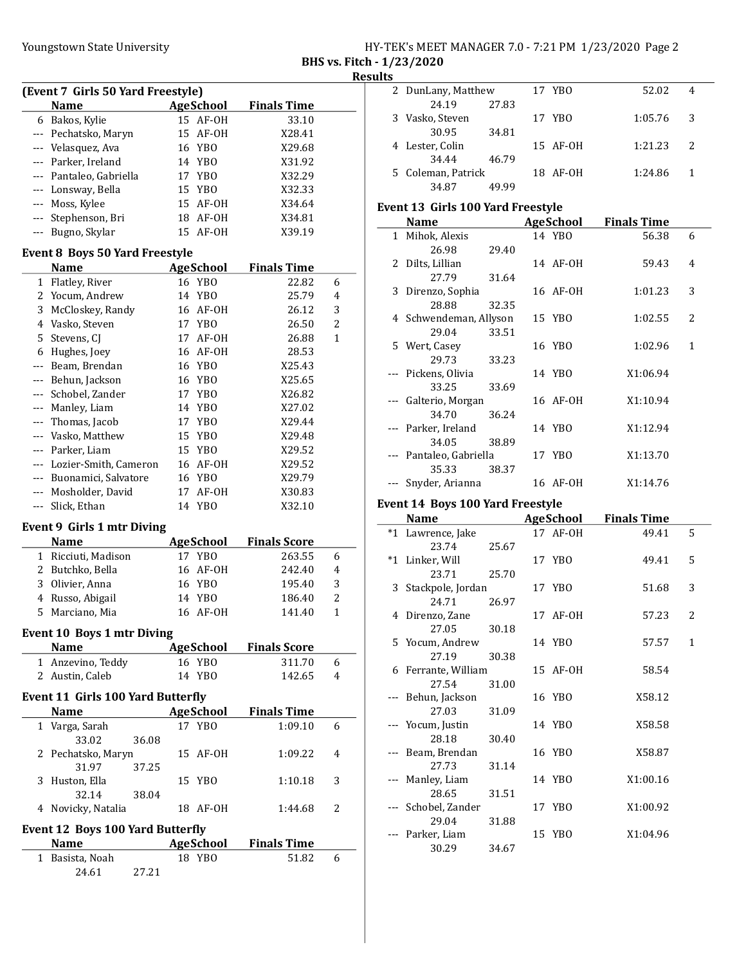|                           | HY-TEK's MEET MANAGER 7.0 - 7:21 PM 1/23/2020 Page 2 |  |  |  |
|---------------------------|------------------------------------------------------|--|--|--|
| BHS vs. Fitch - 1/23/2020 |                                                      |  |  |  |

Result

| (Event 7 Girls 50 Yard Freestyle)       |                         |  |           |                    |  |  |  |  |
|-----------------------------------------|-------------------------|--|-----------|--------------------|--|--|--|--|
|                                         | <b>Name</b>             |  | AgeSchool | <b>Finals Time</b> |  |  |  |  |
|                                         | 6 Bakos, Kylie          |  | 15 AF-OH  | 33.10              |  |  |  |  |
|                                         | --- Pechatsko, Maryn    |  | 15 AF-0H  | X28.41             |  |  |  |  |
|                                         | --- Velasquez, Ava      |  | 16 YBO    | X29.68             |  |  |  |  |
|                                         | --- Parker, Ireland     |  | 14 YBO    | X31.92             |  |  |  |  |
|                                         | --- Pantaleo, Gabriella |  | 17 YBO    | X32.29             |  |  |  |  |
|                                         | --- Lonsway, Bella      |  | 15 YBO    | X32.33             |  |  |  |  |
|                                         | --- Moss, Kylee         |  | 15 AF-0H  | X34.64             |  |  |  |  |
|                                         | --- Stephenson, Bri     |  | 18 AF-0H  | X34.81             |  |  |  |  |
|                                         | --- Bugno, Skylar       |  | 15 AF-0H  | X39.19             |  |  |  |  |
| $Ftrans + 0$ $Dsys F0$ Vand $Fmeast$ le |                         |  |           |                    |  |  |  |  |

#### Event 8 Boys 50 Yard Freestyle

|    | Name                  | <b>AgeSchool</b>      | <b>Finals Time</b> |              |
|----|-----------------------|-----------------------|--------------------|--------------|
| 1  | Flatley, River        | 16 YBO                | 22.82              | 6            |
| 2  | Yocum, Andrew         | 14 YBO                | 25.79              | 4            |
| 3  | McCloskey, Randy      | AF-OH<br>16           | 26.12              | 3            |
| 4  | Vasko, Steven         | YB <sub>0</sub><br>17 | 26.50              | 2            |
| 5. | Stevens, CI           | AF-OH<br>17           | 26.88              | $\mathbf{1}$ |
| 6  | Hughes, Joey          | AF-OH<br>16           | 28.53              |              |
|    | Beam, Brendan         | 16 YBO                | X25.43             |              |
|    | Behun, Jackson        | 16 YBO                | X25.65             |              |
|    | Schobel, Zander       | 17 YBO                | X26.82             |              |
|    | Manley, Liam          | 14 YBO                | X27.02             |              |
|    | Thomas, Jacob         | YBO<br>17             | X29.44             |              |
|    | Vasko, Matthew        | YB <sub>0</sub><br>15 | X29.48             |              |
|    | Parker, Liam          | YBO<br>15             | X29.52             |              |
|    | Lozier-Smith, Cameron | AF-OH<br>16           | X29.52             |              |
|    | Buonamici, Salvatore  | YB <sub>0</sub><br>16 | X29.79             |              |
|    | Mosholder, David      | AF-OH<br>17           | X30.83             |              |
|    | Slick, Ethan          | YBO<br>14             | X32.10             |              |

## Event 9 Girls 1 mtr Diving

| <b>Name</b>         | AgeSchool | <b>Finals Score</b> |   |
|---------------------|-----------|---------------------|---|
| 1 Ricciuti, Madison | 17 YBO    | 263.55              | 6 |
| 2 Butchko, Bella    | 16 AF-0H  | 242.40              | 4 |
| 3 Olivier, Anna     | 16 YBO    | 195.40              | 3 |
| 4 Russo, Abigail    | 14 YBO    | 186.40              | 2 |
| 5 Marciano, Mia     | 16 AF-0H  | 141.40              |   |

## Event 10 Boys 1 mtr Diving

| <b>Name</b>       | AgeSchool | <b>Finals Score</b> |   |
|-------------------|-----------|---------------------|---|
| 1 Anzevino, Teddy | 16 YBO    | 311.70              |   |
| 2 Austin, Caleb   | 14 YBO    | 142.65              | 4 |

#### Event 11 Girls 100 Yard Butterfly

| <b>Name</b>        |       |    | <b>AgeSchool</b> | <b>Finals Time</b> |   |
|--------------------|-------|----|------------------|--------------------|---|
| 1 Varga, Sarah     |       |    | 17 YBO           | 1:09.10            | 6 |
| 33.02              | 36.08 |    |                  |                    |   |
| 2 Pechatsko, Maryn |       |    | 15 AF-0H         | 1:09.22            | 4 |
| 31.97              | 37.25 |    |                  |                    |   |
| 3 Huston, Ella     |       |    | 15 YBO           | 1:10.18            | 3 |
| 32.14              | 38.04 |    |                  |                    |   |
| 4 Novicky, Natalia |       | 18 | AF-OH            | 1:44.68            | 2 |
|                    |       |    |                  |                    |   |

#### Event 12 Boys 100 Yard Butterfly

| <b>Name</b>     |       |        | AgeSchool Finals Time |  |
|-----------------|-------|--------|-----------------------|--|
| 1 Basista, Noah |       | 18 YBO | 51.82                 |  |
| 24.61           | 27.21 |        |                       |  |

| lts |                    |       |          |         |   |
|-----|--------------------|-------|----------|---------|---|
|     | 2 DunLany, Matthew |       | 17 YBO   | 52.02   | 4 |
|     | 24.19              | 27.83 |          |         |   |
|     | 3 Vasko, Steven    |       | 17 YBO   | 1:05.76 | 3 |
|     | 30.95              | 34.81 |          |         |   |
|     | 4 Lester, Colin    |       | 15 AF-0H | 1:21.23 | 2 |
|     | 34.44              | 46.79 |          |         |   |
|     | 5 Coleman, Patrick |       | 18 AF-0H | 1:24.86 |   |
|     | 34.87              | 49.99 |          |         |   |

### Event 13 Girls 100 Yard Freestyle

| <b>Name</b>             |       | <b>AgeSchool</b> | <b>Finals Time</b> |   |
|-------------------------|-------|------------------|--------------------|---|
| 1 Mihok, Alexis         |       | 14 YBO           | 56.38              | 6 |
| 26.98                   | 29.40 |                  |                    |   |
| 2 Dilts, Lillian        |       | 14 AF-OH         | 59.43              | 4 |
| 27.79                   | 31.64 |                  |                    |   |
| 3 Direnzo, Sophia       |       | 16 AF-0H         | 1:01.23            | 3 |
| 28.88                   | 32.35 |                  |                    |   |
| 4 Schwendeman, Allyson  |       | 15 YBO           | 1:02.55            | 2 |
| 29.04                   | 33.51 |                  |                    |   |
| 5 Wert, Casey           |       | 16 YBO           | 1:02.96            | 1 |
| 29.73                   | 33.23 |                  |                    |   |
| --- Pickens, Olivia     |       | 14 YBO           | X1:06.94           |   |
| 33.25                   | 33.69 |                  |                    |   |
| --- Galterio, Morgan    |       | 16 AF-0H         | X1:10.94           |   |
| 34.70                   | 36.24 |                  |                    |   |
| --- Parker, Ireland     |       | 14 YBO           | X1:12.94           |   |
| 34.05                   | 38.89 |                  |                    |   |
| --- Pantaleo, Gabriella |       | 17 YBO           | X1:13.70           |   |
| 35.33                   | 38.37 |                  |                    |   |
| Snyder, Arianna         |       | 16 AF-0H         | X1:14.76           |   |

### Event 14 Boys 100 Yard Freestyle

|      | <b>Name</b>         |       | <b>AgeSchool</b> | <b>Finals Time</b> |              |
|------|---------------------|-------|------------------|--------------------|--------------|
| $*1$ | Lawrence, Jake      |       | 17 AF-OH         | 49.41              | 5            |
|      | 23.74               | 25.67 |                  |                    |              |
|      | *1 Linker, Will     |       | 17 YBO           | 49.41              | 5            |
|      | 23.71               | 25.70 |                  |                    |              |
|      | 3 Stackpole, Jordan |       | 17 YBO           | 51.68              | 3            |
|      | 24.71               | 26.97 |                  |                    |              |
|      | 4 Direnzo, Zane     |       | 17 AF-0H         | 57.23              | 2            |
|      | 27.05               | 30.18 |                  |                    |              |
|      | 5 Yocum, Andrew     |       | 14 YBO           | 57.57              | $\mathbf{1}$ |
|      | 27.19               | 30.38 |                  |                    |              |
|      | 6 Ferrante, William |       | 15 AF-0H         | 58.54              |              |
|      | 27.54               | 31.00 |                  |                    |              |
|      | --- Behun, Jackson  |       | 16 YBO           | X58.12             |              |
|      | 27.03               | 31.09 |                  |                    |              |
|      | --- Yocum, Justin   |       | 14 YBO           | X58.58             |              |
|      | 28.18               | 30.40 |                  |                    |              |
|      | --- Beam, Brendan   |       | 16 YBO           | X58.87             |              |
|      | 27.73               | 31.14 |                  |                    |              |
|      | --- Manley, Liam    |       | 14 YBO           | X1:00.16           |              |
|      | 28.65               | 31.51 |                  |                    |              |
|      | --- Schobel, Zander |       | 17 YBO           | X1:00.92           |              |
|      | 29.04               | 31.88 |                  |                    |              |
|      | --- Parker, Liam    |       | 15 YBO           | X1:04.96           |              |
|      | 30.29               | 34.67 |                  |                    |              |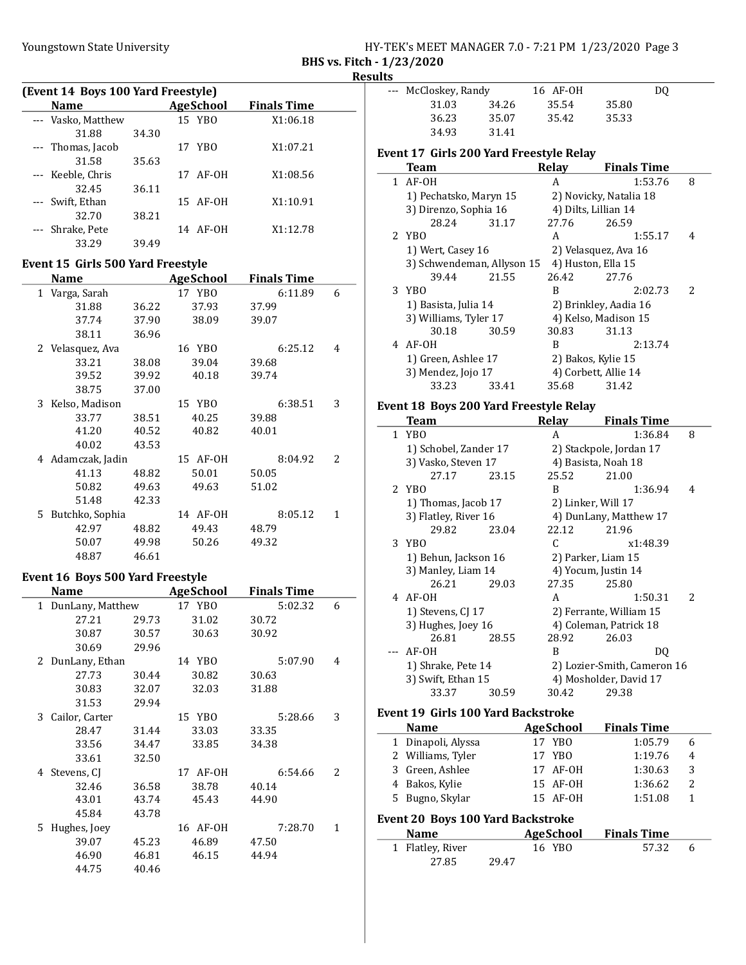|  |   | HY-TEK's MEET MANAGER 7.0 - 7:21 PM 1/23/2020 Page 3 |  |  |  |  |
|--|---|------------------------------------------------------|--|--|--|--|
|  | . |                                                      |  |  |  |  |

BHS vs. Fitch - 1/23/2020 **Results** 

| (Event 14 Boys 100 Yard Freestyle) |       |                  |                    |  |  |  |  |
|------------------------------------|-------|------------------|--------------------|--|--|--|--|
| <b>Name</b>                        |       | <b>AgeSchool</b> | <b>Finals Time</b> |  |  |  |  |
| --- Vasko, Matthew                 |       | 15 YBO           | X1:06.18           |  |  |  |  |
| 31.88                              | 34.30 |                  |                    |  |  |  |  |
| --- Thomas, Jacob                  |       | 17 YBO           | X1:07.21           |  |  |  |  |
| 31.58                              | 35.63 |                  |                    |  |  |  |  |
| --- Keeble, Chris                  |       | 17 AF-0H         | X1:08.56           |  |  |  |  |
| 32.45                              | 36.11 |                  |                    |  |  |  |  |
| Swift, Ethan                       |       | 15 AF-0H         | X1:10.91           |  |  |  |  |
| 32.70                              | 38.21 |                  |                    |  |  |  |  |
| Shrake, Pete                       |       | 14 AF-0H         | X1:12.78           |  |  |  |  |
| 33.29                              | 39.49 |                  |                    |  |  |  |  |

#### Event 15 Girls 500 Yard Freestyle

| Name                  |       | <b>AgeSchool</b> | <b>Finals Time</b> |   |
|-----------------------|-------|------------------|--------------------|---|
| Varga, Sarah<br>$1\,$ |       | 17 YBO           | 6:11.89            | 6 |
| 31.88                 | 36.22 | 37.93            | 37.99              |   |
| 37.74                 | 37.90 | 38.09            | 39.07              |   |
| 38.11                 | 36.96 |                  |                    |   |
| 2 Velasquez, Ava      |       | 16 YBO           | 6:25.12            | 4 |
| 33.21                 | 38.08 | 39.04            | 39.68              |   |
| 39.52                 | 39.92 | 40.18            | 39.74              |   |
| 38.75                 | 37.00 |                  |                    |   |
| Kelso, Madison<br>3   |       | 15 YBO           | 6:38.51            | 3 |
| 33.77                 | 38.51 | 40.25            | 39.88              |   |
| 41.20                 | 40.52 | 40.82            | 40.01              |   |
| 40.02                 | 43.53 |                  |                    |   |
| 4 Adamczak, Jadin     |       | 15 AF-0H         | 8:04.92            | 2 |
| 41.13                 | 48.82 | 50.01            | 50.05              |   |
| 50.82                 | 49.63 | 49.63            | 51.02              |   |
| 51.48                 | 42.33 |                  |                    |   |
| Butchko, Sophia<br>5. |       | 14 AF-0H         | 8:05.12            | 1 |
| 42.97                 | 48.82 | 49.43            | 48.79              |   |
| 50.07                 | 49.98 | 50.26            | 49.32              |   |
| 48.87                 | 46.61 |                  |                    |   |

#### Event 16 Boys 500 Yard Freestyle

|              | Name             |       | AgeSchool | <b>Finals Time</b> |                          |
|--------------|------------------|-------|-----------|--------------------|--------------------------|
| $\mathbf{1}$ | DunLany, Matthew |       | 17 YBO    | 5:02.32            | 6                        |
|              | 27.21            | 29.73 | 31.02     | 30.72              |                          |
|              | 30.87            | 30.57 | 30.63     | 30.92              |                          |
|              | 30.69            | 29.96 |           |                    |                          |
|              | 2 DunLany, Ethan |       | 14 YBO    | 5:07.90            | 4                        |
|              | 27.73            | 30.44 | 30.82     | 30.63              |                          |
|              | 30.83            | 32.07 | 32.03     | 31.88              |                          |
|              | 31.53            | 29.94 |           |                    |                          |
| 3            | Cailor, Carter   |       | 15 YBO    | 5:28.66            | 3                        |
|              | 28.47            | 31.44 | 33.03     | 33.35              |                          |
|              | 33.56            | 34.47 | 33.85     | 34.38              |                          |
|              | 33.61            | 32.50 |           |                    |                          |
|              | 4 Stevens, CJ    |       | 17 AF-0H  | 6:54.66            | $\overline{\mathcal{L}}$ |
|              | 32.46            | 36.58 | 38.78     | 40.14              |                          |
|              | 43.01            | 43.74 | 45.43     | 44.90              |                          |
|              | 45.84            | 43.78 |           |                    |                          |
| 5.           | Hughes, Joey     |       | 16 AF-0H  | 7:28.70            | 1                        |
|              | 39.07            | 45.23 | 46.89     | 47.50              |                          |
|              | 46.90            | 46.81 | 46.15     | 44.94              |                          |
|              | 44.75            | 40.46 |           |                    |                          |

| د. |                      |       |          |       |    |  |
|----|----------------------|-------|----------|-------|----|--|
|    | --- McCloskey, Randy |       | 16 AF-0H |       | DO |  |
|    | 31.03                | 34.26 | 35.54    | 35.80 |    |  |
|    | 36.23                | 35.07 | 35.42    | 35.33 |    |  |
|    | 34.93                | 31.41 |          |       |    |  |

#### Event 17 Girls 200 Yard Freestyle Relay

| Team                       |       | Relav                | <b>Finals Time</b>     |               |
|----------------------------|-------|----------------------|------------------------|---------------|
| $1$ AF-OH                  |       | A                    | 1:53.76                | 8             |
| 1) Pechatsko, Maryn 15     |       |                      | 2) Novicky, Natalia 18 |               |
| 3) Direnzo, Sophia 16      |       | 4) Dilts, Lillian 14 |                        |               |
| 28.24                      | 31.17 | 27.76                | 26.59                  |               |
| 2 YBO                      |       | A                    | 1:55.17                | 4             |
| 1) Wert, Casey 16          |       | 2) Velasquez, Ava 16 |                        |               |
| 3) Schwendeman, Allyson 15 |       | 4) Huston, Ella 15   |                        |               |
| 39.44                      | 21.55 | 26.42                | 27.76                  |               |
| 3 YBO                      |       | B                    | 2:02.73                | $\mathcal{L}$ |
| 1) Basista, Julia 14       |       |                      | 2) Brinkley, Aadia 16  |               |
| 3) Williams, Tyler 17      |       |                      | 4) Kelso, Madison 15   |               |
| 30.18                      | 30.59 | 30.83                | 31.13                  |               |
| 4 AF-0H                    |       | B                    | 2:13.74                |               |
| 1) Green, Ashlee 17        |       | 2) Bakos, Kylie 15   |                        |               |
| 3) Mendez, Jojo 17         |       | 4) Corbett, Allie 14 |                        |               |
| 33.23                      | 33.41 | 35.68                | 31.42                  |               |
|                            |       |                      |                        |               |

### Event 18 Boys 200 Yard Freestyle Relay

| Team                  |       | Relay                   | <b>Finals Time</b>          |               |
|-----------------------|-------|-------------------------|-----------------------------|---------------|
| 1 YBO                 |       | A                       | 1:36.84                     | 8             |
| 1) Schobel, Zander 17 |       | 2) Stackpole, Jordan 17 |                             |               |
| 3) Vasko, Steven 17   |       |                         | 4) Basista, Noah 18         |               |
| 27.17                 | 23.15 | 25.52                   | 21.00                       |               |
| 2 YBO                 |       | B                       | 1:36.94                     | 4             |
| 1) Thomas, Jacob 17   |       |                         | 2) Linker, Will 17          |               |
| 3) Flatley, River 16  |       |                         | 4) DunLany, Matthew 17      |               |
| 29.82                 | 23.04 | 22.12                   | 21.96                       |               |
| 3 YBO                 |       | C                       | x1:48.39                    |               |
| 1) Behun, Jackson 16  |       |                         | 2) Parker, Liam 15          |               |
| 3) Manley, Liam 14    |       |                         | 4) Yocum, Justin 14         |               |
| 26.21                 | 29.03 | 27.35                   | 25.80                       |               |
| 4 AF-0H               |       | A                       | 1:50.31                     | $\mathcal{P}$ |
| 1) Stevens, CJ 17     |       |                         | 2) Ferrante, William 15     |               |
| 3) Hughes, Joey 16    |       |                         | 4) Coleman, Patrick 18      |               |
| 26.81                 | 28.55 | 28.92                   | 26.03                       |               |
| --- AF-OH             |       | B                       | DO.                         |               |
| 1) Shrake, Pete 14    |       |                         | 2) Lozier-Smith, Cameron 16 |               |
| 3) Swift, Ethan 15    |       |                         | 4) Mosholder, David 17      |               |
| 33.37                 | 30.59 | 30.42                   | 29.38                       |               |
|                       |       |                         |                             |               |

## Event 19 Girls 100 Yard Backstroke Name AgeSchool Finals Time<br>Dinanoli Alvssa 17 YBO 1.05.79 1 1:05.79 6 Dinapoli, Alyssa 17 YBO

|                                          |  | 1 Dinapon, myösä  |       | $\cdots$         | 1. VJ. / <i>J</i>  | $\cdot$ |  |  |
|------------------------------------------|--|-------------------|-------|------------------|--------------------|---------|--|--|
|                                          |  | 2 Williams, Tyler |       | 17 YBO           | 1:19.76            | 4       |  |  |
|                                          |  | 3 Green, Ashlee   |       | 17 AF-0H         | 1:30.63            | 3       |  |  |
|                                          |  | 4 Bakos, Kylie    |       | 15 AF-OH         | 1:36.62            | 2       |  |  |
|                                          |  | 5 Bugno, Skylar   |       | 15 AF-OH         | 1:51.08            | 1       |  |  |
| <b>Event 20 Boys 100 Yard Backstroke</b> |  |                   |       |                  |                    |         |  |  |
|                                          |  |                   |       |                  |                    |         |  |  |
|                                          |  | <b>Name</b>       |       | <b>AgeSchool</b> | <b>Finals Time</b> |         |  |  |
|                                          |  | 1 Flatley, River  |       | 16 YBO           | 57.32              | 6       |  |  |
|                                          |  | 27.85             | 29.47 |                  |                    |         |  |  |